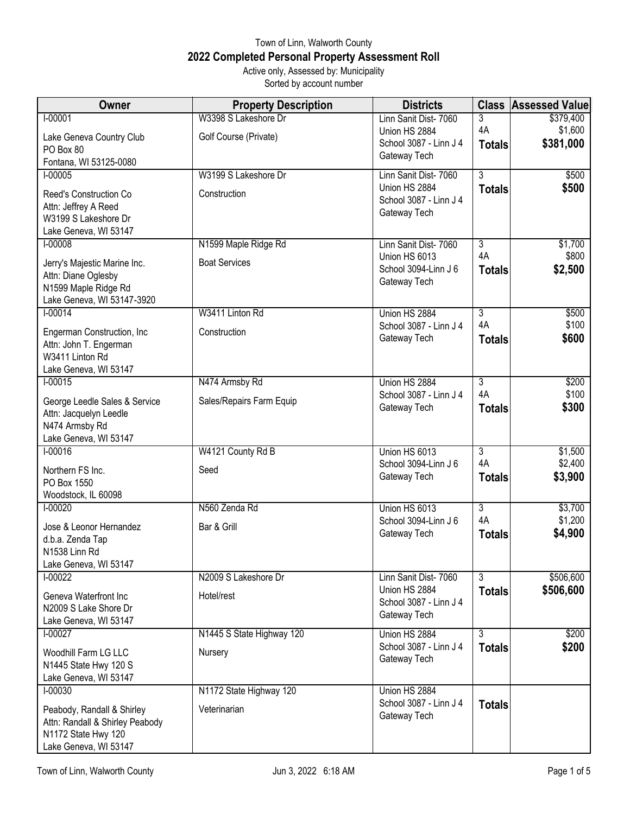## Town of Linn, Walworth County **2022 Completed Personal Property Assessment Roll** Active only, Assessed by: Municipality

Sorted by account number

| <b>Owner</b>                                            | <b>Property Description</b> | <b>Districts</b>                        | <b>Class</b>        | <b>Assessed Value</b> |
|---------------------------------------------------------|-----------------------------|-----------------------------------------|---------------------|-----------------------|
| $I - 00001$                                             | W3398 S Lakeshore Dr        | Linn Sanit Dist- 7060                   | 3                   | \$379,400             |
| Lake Geneva Country Club                                | Golf Course (Private)       | Union HS 2884<br>School 3087 - Linn J 4 | 4A                  | \$1,600               |
| PO Box 80                                               |                             | Gateway Tech                            | <b>Totals</b>       | \$381,000             |
| Fontana, WI 53125-0080                                  |                             |                                         |                     |                       |
| $I-00005$                                               | W3199 S Lakeshore Dr        | Linn Sanit Dist- 7060<br>Union HS 2884  | $\overline{3}$      | \$500<br>\$500        |
| Reed's Construction Co                                  | Construction                | School 3087 - Linn J 4                  | <b>Totals</b>       |                       |
| Attn: Jeffrey A Reed<br>W3199 S Lakeshore Dr            |                             | Gateway Tech                            |                     |                       |
| Lake Geneva, WI 53147                                   |                             |                                         |                     |                       |
| $1 - 00008$                                             | N1599 Maple Ridge Rd        | Linn Sanit Dist- 7060                   | $\overline{3}$      | \$1,700               |
| Jerry's Majestic Marine Inc.                            | <b>Boat Services</b>        | Union HS 6013                           | 4A                  | \$800                 |
| Attn: Diane Oglesby                                     |                             | School 3094-Linn J 6                    | <b>Totals</b>       | \$2,500               |
| N1599 Maple Ridge Rd                                    |                             | Gateway Tech                            |                     |                       |
| Lake Geneva, WI 53147-3920                              |                             |                                         |                     |                       |
| $1 - 00014$                                             | W3411 Linton Rd             | Union HS 2884                           | $\overline{3}$      | \$500                 |
| Engerman Construction, Inc.                             | Construction                | School 3087 - Linn J 4<br>Gateway Tech  | 4A<br><b>Totals</b> | \$100<br>\$600        |
| Attn: John T. Engerman                                  |                             |                                         |                     |                       |
| W3411 Linton Rd<br>Lake Geneva, WI 53147                |                             |                                         |                     |                       |
| $1 - 00015$                                             | N474 Armsby Rd              | Union HS 2884                           | $\overline{3}$      | \$200                 |
|                                                         |                             | School 3087 - Linn J 4                  | 4A                  | \$100                 |
| George Leedle Sales & Service<br>Attn: Jacquelyn Leedle | Sales/Repairs Farm Equip    | Gateway Tech                            | <b>Totals</b>       | \$300                 |
| N474 Armsby Rd                                          |                             |                                         |                     |                       |
| Lake Geneva, WI 53147                                   |                             |                                         |                     |                       |
| $I-00016$                                               | W4121 County Rd B           | Union HS 6013                           | $\overline{3}$      | \$1,500               |
| Northern FS Inc.                                        | Seed                        | School 3094-Linn J 6                    | 4A                  | \$2,400               |
| PO Box 1550                                             |                             | Gateway Tech                            | <b>Totals</b>       | \$3,900               |
| Woodstock, IL 60098                                     |                             |                                         | $\overline{3}$      |                       |
| $1 - 00020$                                             | N560 Zenda Rd               | Union HS 6013<br>School 3094-Linn J 6   | 4A                  | \$3,700<br>\$1,200    |
| Jose & Leonor Hernandez                                 | Bar & Grill                 | Gateway Tech                            | <b>Totals</b>       | \$4,900               |
| d.b.a. Zenda Tap<br>N1538 Linn Rd                       |                             |                                         |                     |                       |
| Lake Geneva, WI 53147                                   |                             |                                         |                     |                       |
| $1 - 00022$                                             | N2009 S Lakeshore Dr        | Linn Sanit Dist- 7060                   | $\overline{3}$      | \$506,600             |
| Geneva Waterfront Inc                                   | Hotel/rest                  | Union HS 2884                           | <b>Totals</b>       | \$506,600             |
| N2009 S Lake Shore Dr                                   |                             | School 3087 - Linn J 4                  |                     |                       |
| Lake Geneva, WI 53147                                   |                             | Gateway Tech                            |                     |                       |
| $I-00027$                                               | N1445 S State Highway 120   | Union HS 2884                           | $\overline{3}$      | \$200                 |
| Woodhill Farm LG LLC                                    | Nursery                     | School 3087 - Linn J 4                  | <b>Totals</b>       | \$200                 |
| N1445 State Hwy 120 S                                   |                             | Gateway Tech                            |                     |                       |
| Lake Geneva, WI 53147                                   |                             |                                         |                     |                       |
| $1 - 00030$                                             | N1172 State Highway 120     | Union HS 2884<br>School 3087 - Linn J 4 | <b>Totals</b>       |                       |
| Peabody, Randall & Shirley                              | Veterinarian                | Gateway Tech                            |                     |                       |
| Attn: Randall & Shirley Peabody<br>N1172 State Hwy 120  |                             |                                         |                     |                       |
| Lake Geneva, WI 53147                                   |                             |                                         |                     |                       |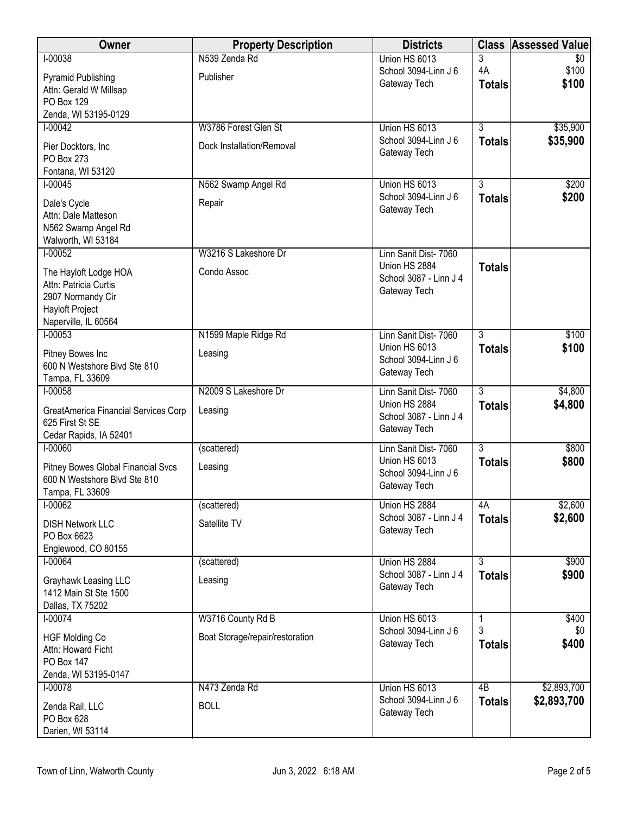| <b>Owner</b>                                     | <b>Property Description</b>     | <b>Districts</b>                        | <b>Class</b>    | <b>Assessed Value</b> |
|--------------------------------------------------|---------------------------------|-----------------------------------------|-----------------|-----------------------|
| $I-00038$                                        | N539 Zenda Rd                   | Union HS 6013                           | 3               | $\overline{30}$       |
| <b>Pyramid Publishing</b>                        | Publisher                       | School 3094-Linn J 6                    | 4A              | \$100<br>\$100        |
| Attn: Gerald W Millsap                           |                                 | Gateway Tech                            | <b>Totals</b>   |                       |
| <b>PO Box 129</b>                                |                                 |                                         |                 |                       |
| Zenda, WI 53195-0129<br>$1 - 00042$              | W3786 Forest Glen St            | Union HS 6013                           | $\overline{3}$  | \$35,900              |
|                                                  |                                 | School 3094-Linn J 6                    | <b>Totals</b>   | \$35,900              |
| Pier Docktors, Inc                               | Dock Installation/Removal       | Gateway Tech                            |                 |                       |
| PO Box 273<br>Fontana, WI 53120                  |                                 |                                         |                 |                       |
| $I-00045$                                        | N562 Swamp Angel Rd             | Union HS 6013                           | $\overline{3}$  | \$200                 |
|                                                  | Repair                          | School 3094-Linn J 6                    | <b>Totals</b>   | \$200                 |
| Dale's Cycle<br>Attn: Dale Matteson              |                                 | Gateway Tech                            |                 |                       |
| N562 Swamp Angel Rd                              |                                 |                                         |                 |                       |
| Walworth, WI 53184                               |                                 |                                         |                 |                       |
| $1 - 00052$                                      | W3216 S Lakeshore Dr            | Linn Sanit Dist- 7060                   |                 |                       |
| The Hayloft Lodge HOA                            | Condo Assoc                     | Union HS 2884                           | <b>Totals</b>   |                       |
| Attn: Patricia Curtis                            |                                 | School 3087 - Linn J 4<br>Gateway Tech  |                 |                       |
| 2907 Normandy Cir                                |                                 |                                         |                 |                       |
| <b>Hayloft Project</b><br>Naperville, IL 60564   |                                 |                                         |                 |                       |
| $1 - 00053$                                      | N1599 Maple Ridge Rd            | Linn Sanit Dist- 7060                   | $\overline{3}$  | \$100                 |
|                                                  |                                 | Union HS 6013                           | <b>Totals</b>   | \$100                 |
| Pitney Bowes Inc<br>600 N Westshore Blvd Ste 810 | Leasing                         | School 3094-Linn J 6                    |                 |                       |
| Tampa, FL 33609                                  |                                 | Gateway Tech                            |                 |                       |
| $I-00058$                                        | N2009 S Lakeshore Dr            | Linn Sanit Dist- 7060                   | $\overline{3}$  | \$4,800               |
| GreatAmerica Financial Services Corp             | Leasing                         | Union HS 2884                           | <b>Totals</b>   | \$4,800               |
| 625 First St SE                                  |                                 | School 3087 - Linn J 4                  |                 |                       |
| Cedar Rapids, IA 52401                           |                                 | Gateway Tech                            |                 |                       |
| $1 - 00060$                                      | (scattered)                     | Linn Sanit Dist- 7060                   | $\overline{3}$  | \$800                 |
| <b>Pitney Bowes Global Financial Svcs</b>        | Leasing                         | Union HS 6013<br>School 3094-Linn J 6   | <b>Totals</b>   | \$800                 |
| 600 N Westshore Blvd Ste 810                     |                                 | Gateway Tech                            |                 |                       |
| Tampa, FL 33609                                  |                                 |                                         |                 |                       |
| $I-00062$                                        | (scattered)                     | Union HS 2884<br>School 3087 - Linn J 4 | 4A              | \$2,600<br>\$2,600    |
| <b>DISH Network LLC</b>                          | Satellite TV                    | Gateway Tech                            | <b>Totals</b>   |                       |
| PO Box 6623<br>Englewood, CO 80155               |                                 |                                         |                 |                       |
| $I-00064$                                        | (scattered)                     | Union HS 2884                           | $\overline{3}$  | \$900                 |
|                                                  |                                 | School 3087 - Linn J 4                  | <b>Totals</b>   | \$900                 |
| Grayhawk Leasing LLC<br>1412 Main St Ste 1500    | Leasing                         | Gateway Tech                            |                 |                       |
| Dallas, TX 75202                                 |                                 |                                         |                 |                       |
| $I - 00074$                                      | W3716 County Rd B               | Union HS 6013                           | 1               | \$400                 |
| <b>HGF Molding Co</b>                            | Boat Storage/repair/restoration | School 3094-Linn J 6                    | 3               | \$0                   |
| Attn: Howard Ficht                               |                                 | Gateway Tech                            | <b>Totals</b>   | \$400                 |
| PO Box 147                                       |                                 |                                         |                 |                       |
| Zenda, WI 53195-0147                             |                                 |                                         |                 |                       |
| $I-00078$                                        | N473 Zenda Rd                   | Union HS 6013                           | $\overline{AB}$ | \$2,893,700           |
| Zenda Rail, LLC                                  | <b>BOLL</b>                     | School 3094-Linn J 6<br>Gateway Tech    | <b>Totals</b>   | \$2,893,700           |
| PO Box 628                                       |                                 |                                         |                 |                       |
| Darien, WI 53114                                 |                                 |                                         |                 |                       |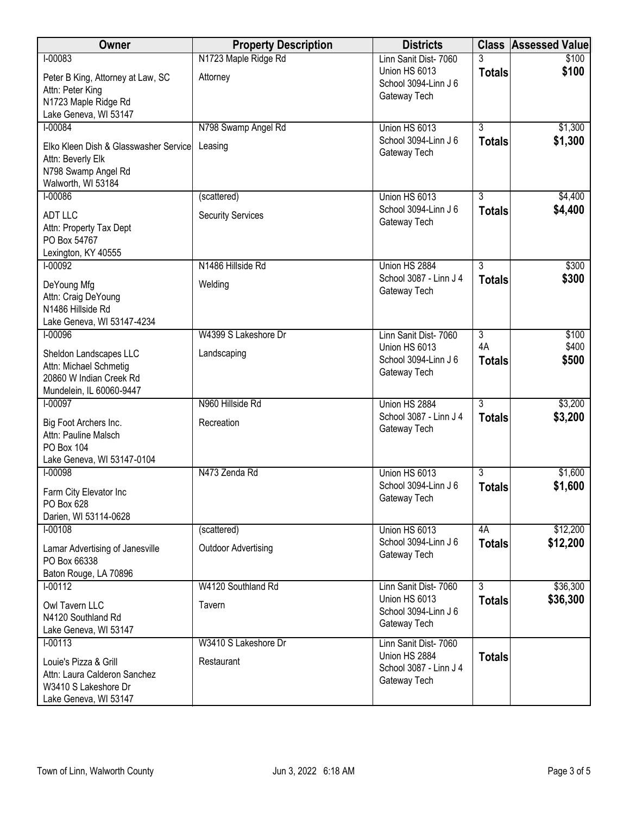| Owner                                                 | <b>Property Description</b> | <b>Districts</b>                       | <b>Class</b>                    | <b>Assessed Value</b> |
|-------------------------------------------------------|-----------------------------|----------------------------------------|---------------------------------|-----------------------|
| $I-00083$                                             | N1723 Maple Ridge Rd        | Linn Sanit Dist- 7060                  |                                 | \$100                 |
| Peter B King, Attorney at Law, SC                     | Attorney                    | Union HS 6013<br>School 3094-Linn J 6  | <b>Totals</b>                   | \$100                 |
| Attn: Peter King                                      |                             | Gateway Tech                           |                                 |                       |
| N1723 Maple Ridge Rd                                  |                             |                                        |                                 |                       |
| Lake Geneva, WI 53147<br>$I-00084$                    |                             | Union HS 6013                          | $\overline{3}$                  | \$1,300               |
|                                                       | N798 Swamp Angel Rd         | School 3094-Linn J 6                   | <b>Totals</b>                   | \$1,300               |
| Elko Kleen Dish & Glasswasher Service                 | Leasing                     | Gateway Tech                           |                                 |                       |
| Attn: Beverly Elk                                     |                             |                                        |                                 |                       |
| N798 Swamp Angel Rd<br>Walworth, WI 53184             |                             |                                        |                                 |                       |
| $I-00086$                                             | (scattered)                 | Union HS 6013                          | $\overline{3}$                  | \$4,400               |
| <b>ADT LLC</b>                                        |                             | School 3094-Linn J 6                   | <b>Totals</b>                   | \$4,400               |
| Attn: Property Tax Dept                               | <b>Security Services</b>    | Gateway Tech                           |                                 |                       |
| PO Box 54767                                          |                             |                                        |                                 |                       |
| Lexington, KY 40555                                   |                             |                                        |                                 |                       |
| $1 - 00092$                                           | N1486 Hillside Rd           | Union HS 2884                          | $\overline{3}$                  | \$300                 |
| DeYoung Mfg                                           | Welding                     | School 3087 - Linn J 4                 | <b>Totals</b>                   | \$300                 |
| Attn: Craig DeYoung                                   |                             | Gateway Tech                           |                                 |                       |
| N1486 Hillside Rd                                     |                             |                                        |                                 |                       |
| Lake Geneva, WI 53147-4234                            |                             |                                        |                                 |                       |
| $I-00096$                                             | W4399 S Lakeshore Dr        | Linn Sanit Dist- 7060                  | $\overline{3}$<br>4A            | \$100<br>\$400        |
| Sheldon Landscapes LLC                                | Landscaping                 | Union HS 6013<br>School 3094-Linn J 6  | <b>Totals</b>                   | \$500                 |
| Attn: Michael Schmetig                                |                             | Gateway Tech                           |                                 |                       |
| 20860 W Indian Creek Rd<br>Mundelein, IL 60060-9447   |                             |                                        |                                 |                       |
| $1-00097$                                             | N960 Hillside Rd            | Union HS 2884                          | $\overline{3}$                  | \$3,200               |
|                                                       |                             | School 3087 - Linn J 4                 | <b>Totals</b>                   | \$3,200               |
| Big Foot Archers Inc.<br>Attn: Pauline Malsch         | Recreation                  | Gateway Tech                           |                                 |                       |
| PO Box 104                                            |                             |                                        |                                 |                       |
| Lake Geneva, WI 53147-0104                            |                             |                                        |                                 |                       |
| $I-00098$                                             | N473 Zenda Rd               | Union HS 6013                          | $\overline{3}$                  | \$1,600               |
| Farm City Elevator Inc                                |                             | School 3094-Linn J 6                   | <b>Totals</b>                   | \$1,600               |
| PO Box 628                                            |                             | Gateway Tech                           |                                 |                       |
| Darien, WI 53114-0628                                 |                             |                                        |                                 |                       |
| $1-00108$                                             | (scattered)                 | Union HS 6013                          | 4A                              | \$12,200              |
| Lamar Advertising of Janesville                       | <b>Outdoor Advertising</b>  | School 3094-Linn J 6<br>Gateway Tech   | <b>Totals</b>                   | \$12,200              |
| PO Box 66338                                          |                             |                                        |                                 |                       |
| Baton Rouge, LA 70896                                 |                             |                                        |                                 |                       |
| $I-00112$                                             | W4120 Southland Rd          | Linn Sanit Dist- 7060<br>Union HS 6013 | $\overline{3}$<br><b>Totals</b> | \$36,300<br>\$36,300  |
| Owl Tavern LLC                                        | Tavern                      | School 3094-Linn J 6                   |                                 |                       |
| N4120 Southland Rd<br>Lake Geneva, WI 53147           |                             | Gateway Tech                           |                                 |                       |
| $I - 00113$                                           | W3410 S Lakeshore Dr        | Linn Sanit Dist- 7060                  |                                 |                       |
|                                                       |                             | Union HS 2884                          | <b>Totals</b>                   |                       |
| Louie's Pizza & Grill<br>Attn: Laura Calderon Sanchez | Restaurant                  | School 3087 - Linn J 4                 |                                 |                       |
| W3410 S Lakeshore Dr                                  |                             | Gateway Tech                           |                                 |                       |
| Lake Geneva, WI 53147                                 |                             |                                        |                                 |                       |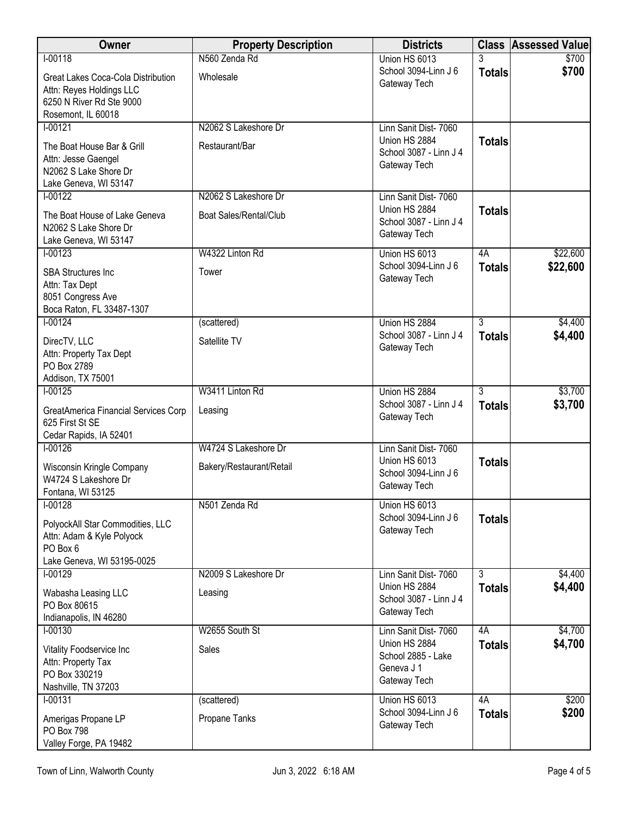| <b>Owner</b>                                      | <b>Property Description</b> | <b>Districts</b>                        |                | <b>Class Assessed Value</b> |
|---------------------------------------------------|-----------------------------|-----------------------------------------|----------------|-----------------------------|
| $I-00118$                                         | N560 Zenda Rd               | Union HS 6013                           |                | \$700                       |
| Great Lakes Coca-Cola Distribution                | Wholesale                   | School 3094-Linn J 6<br>Gateway Tech    | <b>Totals</b>  | \$700                       |
| Attn: Reyes Holdings LLC                          |                             |                                         |                |                             |
| 6250 N River Rd Ste 9000<br>Rosemont, IL 60018    |                             |                                         |                |                             |
| $1 - 00121$                                       | N2062 S Lakeshore Dr        | Linn Sanit Dist- 7060                   |                |                             |
| The Boat House Bar & Grill                        | Restaurant/Bar              | Union HS 2884                           | <b>Totals</b>  |                             |
| Attn: Jesse Gaengel                               |                             | School 3087 - Linn J 4                  |                |                             |
| N2062 S Lake Shore Dr                             |                             | Gateway Tech                            |                |                             |
| Lake Geneva, WI 53147                             |                             |                                         |                |                             |
| $I-00122$                                         | N2062 S Lakeshore Dr        | Linn Sanit Dist- 7060<br>Union HS 2884  | <b>Totals</b>  |                             |
| The Boat House of Lake Geneva                     | Boat Sales/Rental/Club      | School 3087 - Linn J 4                  |                |                             |
| N2062 S Lake Shore Dr<br>Lake Geneva, WI 53147    |                             | Gateway Tech                            |                |                             |
| $I-00123$                                         | W4322 Linton Rd             | Union HS 6013                           | 4A             | \$22,600                    |
| <b>SBA Structures Inc</b>                         | Tower                       | School 3094-Linn J 6                    | <b>Totals</b>  | \$22,600                    |
| Attn: Tax Dept                                    |                             | Gateway Tech                            |                |                             |
| 8051 Congress Ave                                 |                             |                                         |                |                             |
| Boca Raton, FL 33487-1307<br>$I-00124$            |                             |                                         | $\overline{3}$ |                             |
|                                                   | (scattered)                 | Union HS 2884<br>School 3087 - Linn J 4 | <b>Totals</b>  | \$4,400<br>\$4,400          |
| DirecTV, LLC                                      | Satellite TV                | Gateway Tech                            |                |                             |
| Attn: Property Tax Dept<br>PO Box 2789            |                             |                                         |                |                             |
| Addison, TX 75001                                 |                             |                                         |                |                             |
| $I-00125$                                         | W3411 Linton Rd             | Union HS 2884                           | $\overline{3}$ | \$3,700                     |
| GreatAmerica Financial Services Corp              | Leasing                     | School 3087 - Linn J 4<br>Gateway Tech  | <b>Totals</b>  | \$3,700                     |
| 625 First St SE                                   |                             |                                         |                |                             |
| Cedar Rapids, IA 52401<br>$I-00126$               | W4724 S Lakeshore Dr        | Linn Sanit Dist- 7060                   |                |                             |
|                                                   |                             | Union HS 6013                           | <b>Totals</b>  |                             |
| Wisconsin Kringle Company<br>W4724 S Lakeshore Dr | Bakery/Restaurant/Retail    | School 3094-Linn J 6                    |                |                             |
| Fontana, WI 53125                                 |                             | Gateway Tech                            |                |                             |
| $I-00128$                                         | N501 Zenda Rd               | Union HS 6013                           |                |                             |
| PolyockAll Star Commodities, LLC                  |                             | School 3094-Linn J 6<br>Gateway Tech    | <b>Totals</b>  |                             |
| Attn: Adam & Kyle Polyock                         |                             |                                         |                |                             |
| PO Box 6<br>Lake Geneva, WI 53195-0025            |                             |                                         |                |                             |
| $I-00129$                                         | N2009 S Lakeshore Dr        | Linn Sanit Dist- 7060                   | $\overline{3}$ | \$4,400                     |
| Wabasha Leasing LLC                               | Leasing                     | Union HS 2884                           | <b>Totals</b>  | \$4,400                     |
| PO Box 80615                                      |                             | School 3087 - Linn J 4                  |                |                             |
| Indianapolis, IN 46280                            |                             | Gateway Tech                            |                |                             |
| $1 - 00130$                                       | W2655 South St              | Linn Sanit Dist- 7060                   | 4A             | \$4,700                     |
| Vitality Foodservice Inc                          | Sales                       | Union HS 2884<br>School 2885 - Lake     | <b>Totals</b>  | \$4,700                     |
| Attn: Property Tax<br>PO Box 330219               |                             | Geneva J 1                              |                |                             |
| Nashville, TN 37203                               |                             | Gateway Tech                            |                |                             |
| $I-00131$                                         | (scattered)                 | Union HS 6013                           | 4A             | \$200                       |
| Amerigas Propane LP                               | Propane Tanks               | School 3094-Linn J 6                    | <b>Totals</b>  | \$200                       |
| PO Box 798                                        |                             | Gateway Tech                            |                |                             |
| Valley Forge, PA 19482                            |                             |                                         |                |                             |